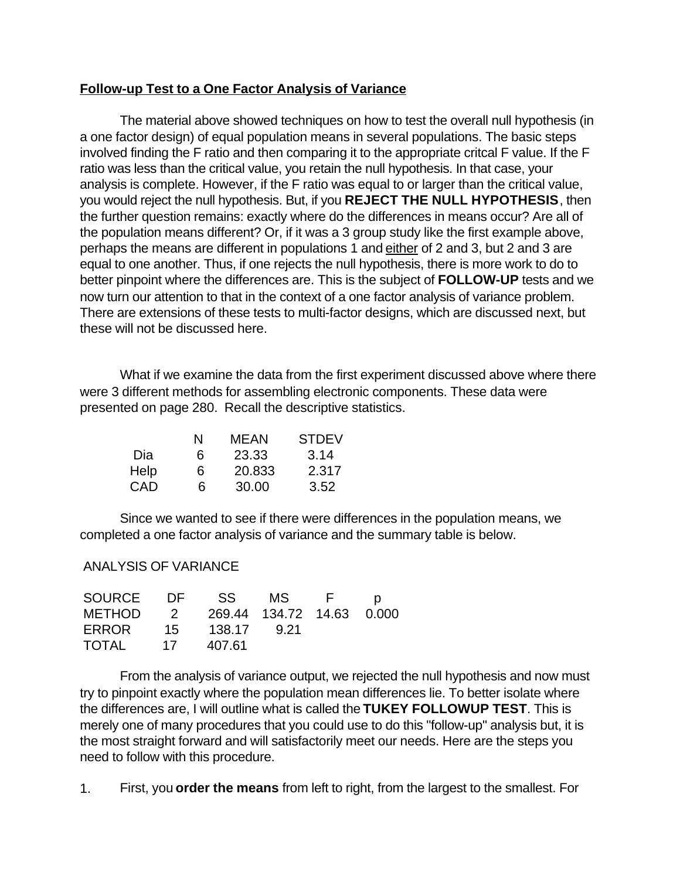### **Follow-up Test to a One Factor Analysis of Variance**

The material above showed techniques on how to test the overall null hypothesis (in a one factor design) of equal population means in several populations. The basic steps involved finding the F ratio and then comparing it to the appropriate critcal F value. If the F ratio was less than the critical value, you retain the null hypothesis. In that case, your analysis is complete. However, if the F ratio was equal to or larger than the critical value, you would reject the null hypothesis. But, if you **REJECT THE NULL HYPOTHESIS**, then the further question remains: exactly where do the differences in means occur? Are all of the population means different? Or, if it was a 3 group study like the first example above, perhaps the means are different in populations 1 and either of 2 and 3, but 2 and 3 are equal to one another. Thus, if one rejects the null hypothesis, there is more work to do to better pinpoint where the differences are. This is the subject of **FOLLOW-UP** tests and we now turn our attention to that in the context of a one factor analysis of variance problem. There are extensions of these tests to multi-factor designs, which are discussed next, but these will not be discussed here.

What if we examine the data from the first experiment discussed above where there were 3 different methods for assembling electronic components. These data were presented on page 280. Recall the descriptive statistics.

|      | N | MFAN   | <b>STDEV</b> |
|------|---|--------|--------------|
| Dia  | 6 | 23.33  | 3.14         |
| Help | 6 | 20.833 | 2.317        |
| CAD  | 6 | 30.00  | 3.52         |

Since we wanted to see if there were differences in the population means, we completed a one factor analysis of variance and the summary table is below.

### ANALYSIS OF VARIANCE

| SOURCE DF SS MS F                  |        |  | $\Box$ |
|------------------------------------|--------|--|--------|
| METHOD 2 269.44 134.72 14.63 0.000 |        |  |        |
| ERROR 15 138.17 9.21               |        |  |        |
| TOTAL 17                           | 407.61 |  |        |

From the analysis of variance output, we rejected the null hypothesis and now must try to pinpoint exactly where the population mean differences lie. To better isolate where the differences are, I will outline what is called the **TUKEY FOLLOWUP TEST**. This is merely one of many procedures that you could use to do this "follow-up" analysis but, it is the most straight forward and will satisfactorily meet our needs. Here are the steps you need to follow with this procedure.

1. First, you **order the means** from left to right, from the largest to the smallest. For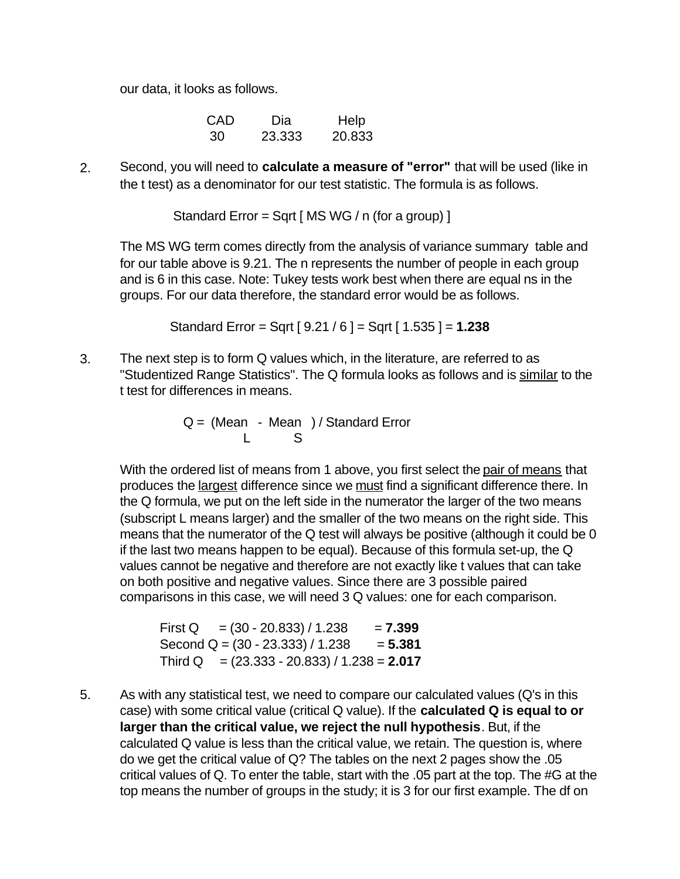our data, it looks as follows.

| CAD | Dia    | Help   |
|-----|--------|--------|
| 30  | 23.333 | 20.833 |

2. Second, you will need to **calculate a measure of "error"** that will be used (like in the t test) as a denominator for our test statistic. The formula is as follows.

Standard Error = Sqrt [ MS WG / n (for a group) ]

The MS WG term comes directly from the analysis of variance summary table and for our table above is 9.21. The n represents the number of people in each group and is 6 in this case. Note: Tukey tests work best when there are equal ns in the groups. For our data therefore, the standard error would be as follows.

Standard Error = Sqrt [ 9.21 / 6 ] = Sqrt [ 1.535 ] = **1.238**

3. The next step is to form Q values which, in the literature, are referred to as "Studentized Range Statistics". The Q formula looks as follows and is similar to the t test for differences in means.

 $Q = (Mean - Mean) / Standard Error$ L S

> With the ordered list of means from 1 above, you first select the pair of means that produces the largest difference since we must find a significant difference there. In the Q formula, we put on the left side in the numerator the larger of the two means (subscript L means larger) and the smaller of the two means on the right side. This means that the numerator of the Q test will always be positive (although it could be 0 if the last two means happen to be equal). Because of this formula set-up, the Q values cannot be negative and therefore are not exactly like t values that can take on both positive and negative values. Since there are 3 possible paired comparisons in this case, we will need 3 Q values: one for each comparison.

| First Q = $(30 - 20.833) / 1.238$             | $= 7.399$ |
|-----------------------------------------------|-----------|
| Second $Q = (30 - 23.333) / 1.238$            | $= 5.381$ |
| Third Q $= (23.333 - 20.833) / 1.238 = 2.017$ |           |

5. As with any statistical test, we need to compare our calculated values (Q's in this case) with some critical value (critical Q value). If the **calculated Q is equal to or larger than the critical value, we reject the null hypothesis**. But, if the calculated Q value is less than the critical value, we retain. The question is, where do we get the critical value of Q? The tables on the next 2 pages show the .05 critical values of Q. To enter the table, start with the .05 part at the top. The #G at the top means the number of groups in the study; it is 3 for our first example. The df on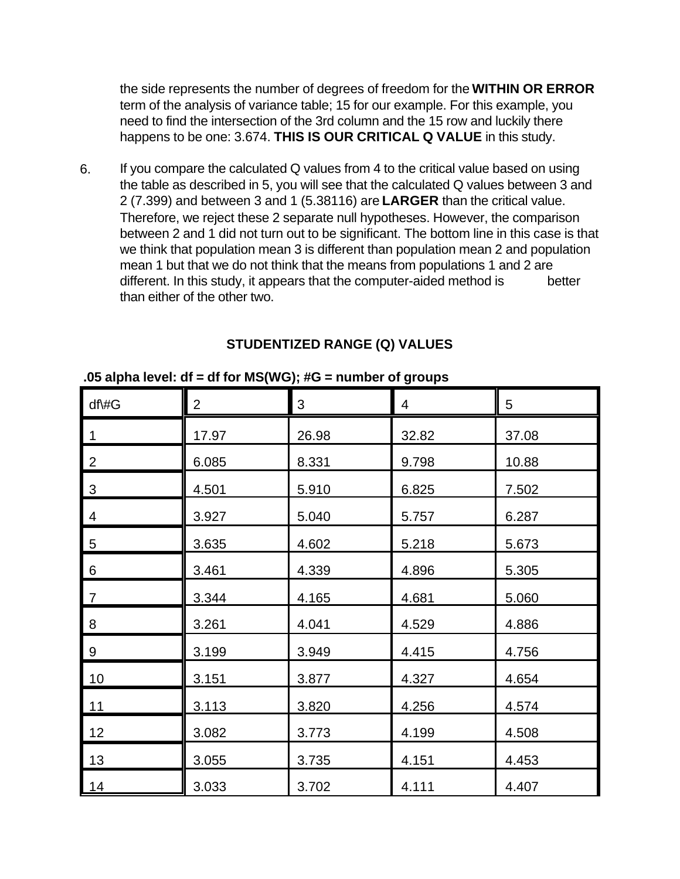the side represents the number of degrees of freedom for the **WITHIN OR ERROR** term of the analysis of variance table; 15 for our example. For this example, you need to find the intersection of the 3rd column and the 15 row and luckily there happens to be one: 3.674. **THIS IS OUR CRITICAL Q VALUE** in this study.

6. If you compare the calculated Q values from 4 to the critical value based on using the table as described in 5, you will see that the calculated Q values between 3 and 2 (7.399) and between 3 and 1 (5.38116) are **LARGER** than the critical value. Therefore, we reject these 2 separate null hypotheses. However, the comparison between 2 and 1 did not turn out to be significant. The bottom line in this case is that we think that population mean 3 is different than population mean 2 and population mean 1 but that we do not think that the means from populations 1 and 2 are different. In this study, it appears that the computer-aided method is better than either of the other two.

| df\#G          | $\overline{2}$ | 3     | 4     | 5     |
|----------------|----------------|-------|-------|-------|
| 1              | 17.97          | 26.98 | 32.82 | 37.08 |
| $\overline{2}$ | 6.085          | 8.331 | 9.798 | 10.88 |
| $\mathfrak{S}$ | 4.501          | 5.910 | 6.825 | 7.502 |
| 4              | 3.927          | 5.040 | 5.757 | 6.287 |
| 5              | 3.635          | 4.602 | 5.218 | 5.673 |
| 6              | 3.461          | 4.339 | 4.896 | 5.305 |
| $\overline{7}$ | 3.344          | 4.165 | 4.681 | 5.060 |
| 8              | 3.261          | 4.041 | 4.529 | 4.886 |
| 9              | 3.199          | 3.949 | 4.415 | 4.756 |
| 10             | 3.151          | 3.877 | 4.327 | 4.654 |
| 11             | 3.113          | 3.820 | 4.256 | 4.574 |
| 12             | 3.082          | 3.773 | 4.199 | 4.508 |
| 13             | 3.055          | 3.735 | 4.151 | 4.453 |
| 14             | 3.033          | 3.702 | 4.111 | 4.407 |

# **STUDENTIZED RANGE (Q) VALUES**

### **.05 alpha level: df = df for MS(WG); #G = number of groups**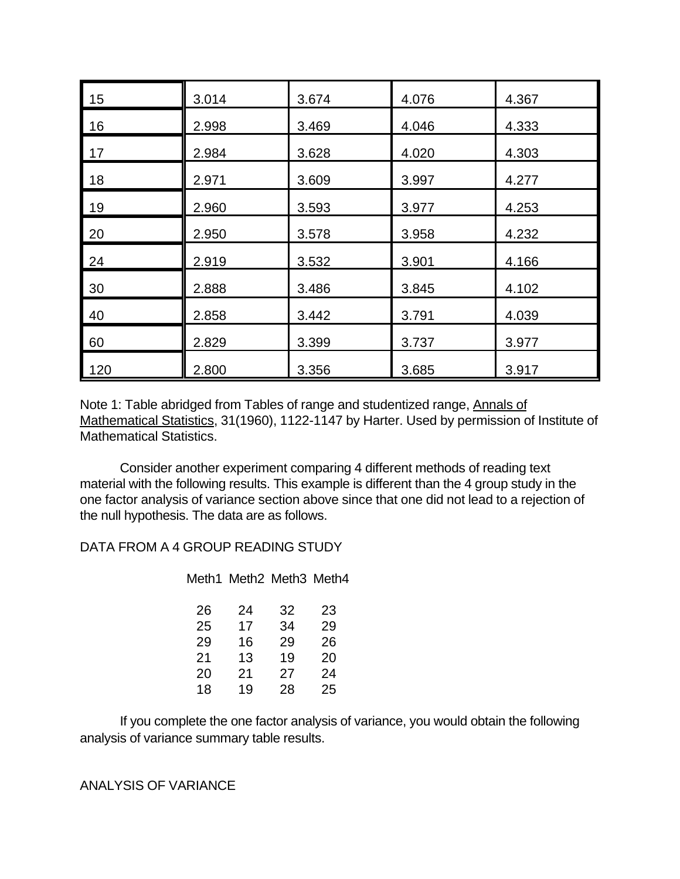| 15  | 3.014 | 3.674 | 4.076 | 4.367 |
|-----|-------|-------|-------|-------|
| 16  | 2.998 | 3.469 | 4.046 | 4.333 |
| 17  | 2.984 | 3.628 | 4.020 | 4.303 |
| 18  | 2.971 | 3.609 | 3.997 | 4.277 |
| 19  | 2.960 | 3.593 | 3.977 | 4.253 |
| 20  | 2.950 | 3.578 | 3.958 | 4.232 |
| 24  | 2.919 | 3.532 | 3.901 | 4.166 |
| 30  | 2.888 | 3.486 | 3.845 | 4.102 |
| 40  | 2.858 | 3.442 | 3.791 | 4.039 |
| 60  | 2.829 | 3.399 | 3.737 | 3.977 |
| 120 | 2.800 | 3.356 | 3.685 | 3.917 |

Note 1: Table abridged from Tables of range and studentized range, Annals of Mathematical Statistics, 31(1960), 1122-1147 by Harter. Used by permission of Institute of Mathematical Statistics.

Consider another experiment comparing 4 different methods of reading text material with the following results. This example is different than the 4 group study in the one factor analysis of variance section above since that one did not lead to a rejection of the null hypothesis. The data are as follows.

DATA FROM A 4 GROUP READING STUDY

Meth1 Meth2 Meth3 Meth4

| 26 | 24 | 32 | 23 |
|----|----|----|----|
| 25 | 17 | 34 | 29 |
| 29 | 16 | 29 | 26 |
| 21 | 13 | 19 | 20 |
| 20 | 21 | 27 | 24 |
| 18 | 19 | 28 | 25 |

If you complete the one factor analysis of variance, you would obtain the following analysis of variance summary table results.

ANALYSIS OF VARIANCE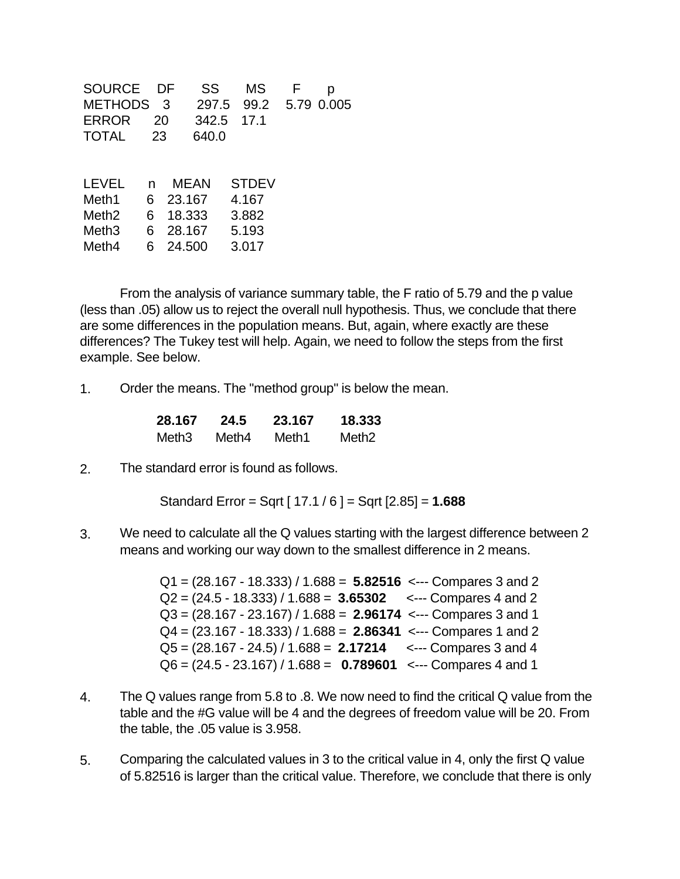| SOURCE            |    | DF     | SS    | ΜS           | р          |
|-------------------|----|--------|-------|--------------|------------|
| <b>METHODS</b>    |    | 3      | 297.5 | 99.2         | 5.79 0.005 |
| <b>ERROR</b>      | 20 |        | 342.5 | 17.1         |            |
| <b>TOTAL</b>      | 23 |        | 640.0 |              |            |
|                   |    |        |       |              |            |
|                   |    |        |       |              |            |
| <b>LEVEL</b>      | n  |        | MEAN  | <b>STDEV</b> |            |
| Meth1             | 6  | 23.167 |       | 4.167        |            |
| Meth <sub>2</sub> | 6  | 18.333 |       | 3.882        |            |
| Meth <sub>3</sub> | 6  | 28.167 |       | 5.193        |            |
| Meth4             | 6  | 24.500 |       | 3.017        |            |

From the analysis of variance summary table, the F ratio of 5.79 and the p value (less than .05) allow us to reject the overall null hypothesis. Thus, we conclude that there are some differences in the population means. But, again, where exactly are these differences? The Tukey test will help. Again, we need to follow the steps from the first example. See below.

1. Order the means. The "method group" is below the mean.

| 28.167 | 24.5  | 23.167 | 18.333            |
|--------|-------|--------|-------------------|
| Meth3  | Meth4 | Meth1  | Meth <sub>2</sub> |

2. The standard error is found as follows.

Standard Error = Sqrt [ 17.1 / 6 ] = Sqrt [2.85] = **1.688**

3. We need to calculate all the Q values starting with the largest difference between 2 means and working our way down to the smallest difference in 2 means.

> Q1 = (28.167 - 18.333) / 1.688 = **5.82516** <--- Compares 3 and 2 Q2 = (24.5 - 18.333) / 1.688 = **3.65302** <--- Compares 4 and 2 Q3 = (28.167 - 23.167) / 1.688 = **2.96174** <--- Compares 3 and 1 Q4 = (23.167 - 18.333) / 1.688 = **2.86341** <--- Compares 1 and 2 Q5 = (28.167 - 24.5) / 1.688 = **2.17214** <--- Compares 3 and 4 Q6 = (24.5 - 23.167) / 1.688 = **0.789601** <--- Compares 4 and 1

- 4. The Q values range from 5.8 to .8. We now need to find the critical Q value from the table and the #G value will be 4 and the degrees of freedom value will be 20. From the table, the .05 value is 3.958.
- 5. Comparing the calculated values in 3 to the critical value in 4, only the first Q value of 5.82516 is larger than the critical value. Therefore, we conclude that there is only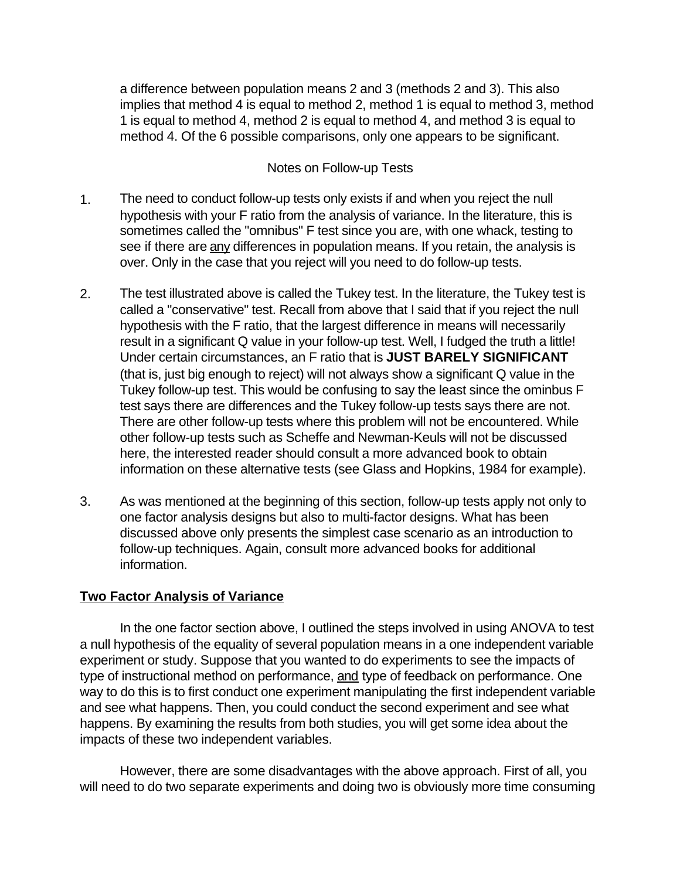a difference between population means 2 and 3 (methods 2 and 3). This also implies that method 4 is equal to method 2, method 1 is equal to method 3, method 1 is equal to method 4, method 2 is equal to method 4, and method 3 is equal to method 4. Of the 6 possible comparisons, only one appears to be significant.

#### Notes on Follow-up Tests

- 1. The need to conduct follow-up tests only exists if and when you reject the null hypothesis with your F ratio from the analysis of variance. In the literature, this is sometimes called the "omnibus" F test since you are, with one whack, testing to see if there are any differences in population means. If you retain, the analysis is over. Only in the case that you reject will you need to do follow-up tests.
- 2. The test illustrated above is called the Tukey test. In the literature, the Tukey test is called a "conservative" test. Recall from above that I said that if you reject the null hypothesis with the F ratio, that the largest difference in means will necessarily result in a significant Q value in your follow-up test. Well, I fudged the truth a little! Under certain circumstances, an F ratio that is **JUST BARELY SIGNIFICANT**  (that is, just big enough to reject) will not always show a significant Q value in the Tukey follow-up test. This would be confusing to say the least since the ominbus F test says there are differences and the Tukey follow-up tests says there are not. There are other follow-up tests where this problem will not be encountered. While other follow-up tests such as Scheffe and Newman-Keuls will not be discussed here, the interested reader should consult a more advanced book to obtain information on these alternative tests (see Glass and Hopkins, 1984 for example).
- 3. As was mentioned at the beginning of this section, follow-up tests apply not only to one factor analysis designs but also to multi-factor designs. What has been discussed above only presents the simplest case scenario as an introduction to follow-up techniques. Again, consult more advanced books for additional information.

### **Two Factor Analysis of Variance**

In the one factor section above, I outlined the steps involved in using ANOVA to test a null hypothesis of the equality of several population means in a one independent variable experiment or study. Suppose that you wanted to do experiments to see the impacts of type of instructional method on performance, and type of feedback on performance. One way to do this is to first conduct one experiment manipulating the first independent variable and see what happens. Then, you could conduct the second experiment and see what happens. By examining the results from both studies, you will get some idea about the impacts of these two independent variables.

However, there are some disadvantages with the above approach. First of all, you will need to do two separate experiments and doing two is obviously more time consuming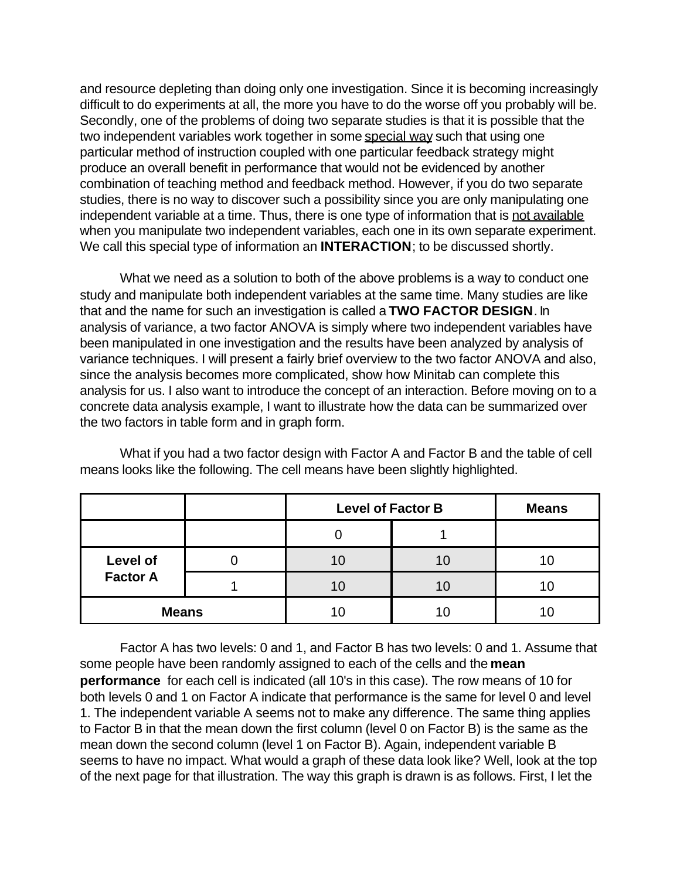and resource depleting than doing only one investigation. Since it is becoming increasingly difficult to do experiments at all, the more you have to do the worse off you probably will be. Secondly, one of the problems of doing two separate studies is that it is possible that the two independent variables work together in some special way such that using one particular method of instruction coupled with one particular feedback strategy might produce an overall benefit in performance that would not be evidenced by another combination of teaching method and feedback method. However, if you do two separate studies, there is no way to discover such a possibility since you are only manipulating one independent variable at a time. Thus, there is one type of information that is not available when you manipulate two independent variables, each one in its own separate experiment. We call this special type of information an **INTERACTION**; to be discussed shortly.

What we need as a solution to both of the above problems is a way to conduct one study and manipulate both independent variables at the same time. Many studies are like that and the name for such an investigation is called a **TWO FACTOR DESIGN**. In analysis of variance, a two factor ANOVA is simply where two independent variables have been manipulated in one investigation and the results have been analyzed by analysis of variance techniques. I will present a fairly brief overview to the two factor ANOVA and also, since the analysis becomes more complicated, show how Minitab can complete this analysis for us. I also want to introduce the concept of an interaction. Before moving on to a concrete data analysis example, I want to illustrate how the data can be summarized over the two factors in table form and in graph form.

|                 | <b>Level of Factor B</b> | <b>Means</b> |  |
|-----------------|--------------------------|--------------|--|
|                 |                          |              |  |
| Level of        |                          | 10           |  |
| <b>Factor A</b> |                          | 10           |  |
| <b>Means</b>    | 11                       |              |  |

What if you had a two factor design with Factor A and Factor B and the table of cell means looks like the following. The cell means have been slightly highlighted.

Factor A has two levels: 0 and 1, and Factor B has two levels: 0 and 1. Assume that some people have been randomly assigned to each of the cells and the **mean performance** for each cell is indicated (all 10's in this case). The row means of 10 for both levels 0 and 1 on Factor A indicate that performance is the same for level 0 and level 1. The independent variable A seems not to make any difference. The same thing applies to Factor B in that the mean down the first column (level 0 on Factor B) is the same as the mean down the second column (level 1 on Factor B). Again, independent variable B seems to have no impact. What would a graph of these data look like? Well, look at the top of the next page for that illustration. The way this graph is drawn is as follows. First, I let the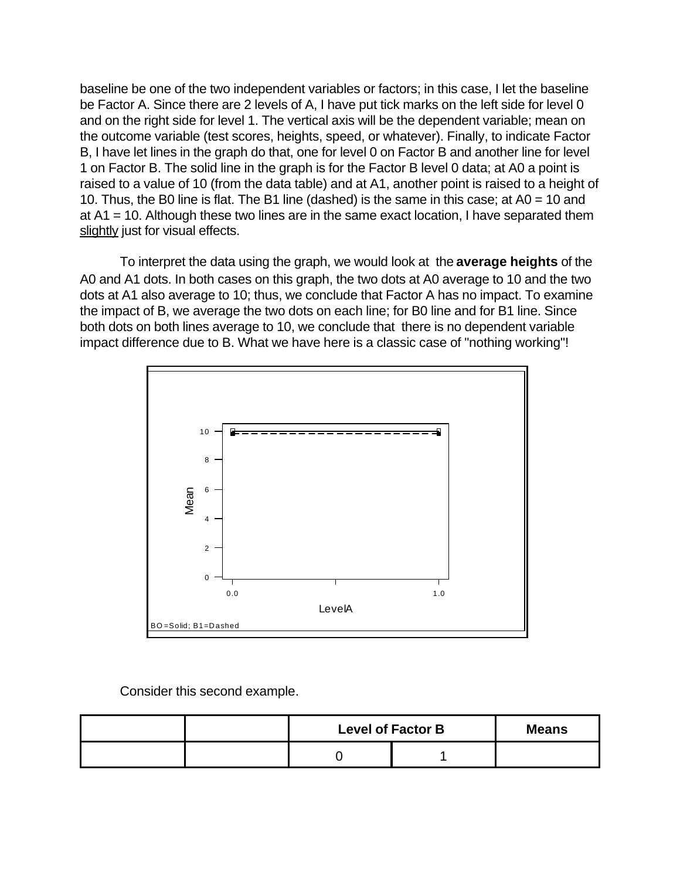baseline be one of the two independent variables or factors; in this case, I let the baseline be Factor A. Since there are 2 levels of A, I have put tick marks on the left side for level 0 and on the right side for level 1. The vertical axis will be the dependent variable; mean on the outcome variable (test scores, heights, speed, or whatever). Finally, to indicate Factor B, I have let lines in the graph do that, one for level 0 on Factor B and another line for level 1 on Factor B. The solid line in the graph is for the Factor B level 0 data; at A0 a point is raised to a value of 10 (from the data table) and at A1, another point is raised to a height of 10. Thus, the B0 line is flat. The B1 line (dashed) is the same in this case; at A0 = 10 and at A1 = 10. Although these two lines are in the same exact location, I have separated them slightly just for visual effects.

To interpret the data using the graph, we would look at the **average heights** of the A0 and A1 dots. In both cases on this graph, the two dots at A0 average to 10 and the two dots at A1 also average to 10; thus, we conclude that Factor A has no impact. To examine the impact of B, we average the two dots on each line; for B0 line and for B1 line. Since both dots on both lines average to 10, we conclude that there is no dependent variable impact difference due to B. What we have here is a classic case of "nothing working"!



Consider this second example.

|  | <b>Level of Factor B</b> | <b>Means</b> |  |
|--|--------------------------|--------------|--|
|  |                          |              |  |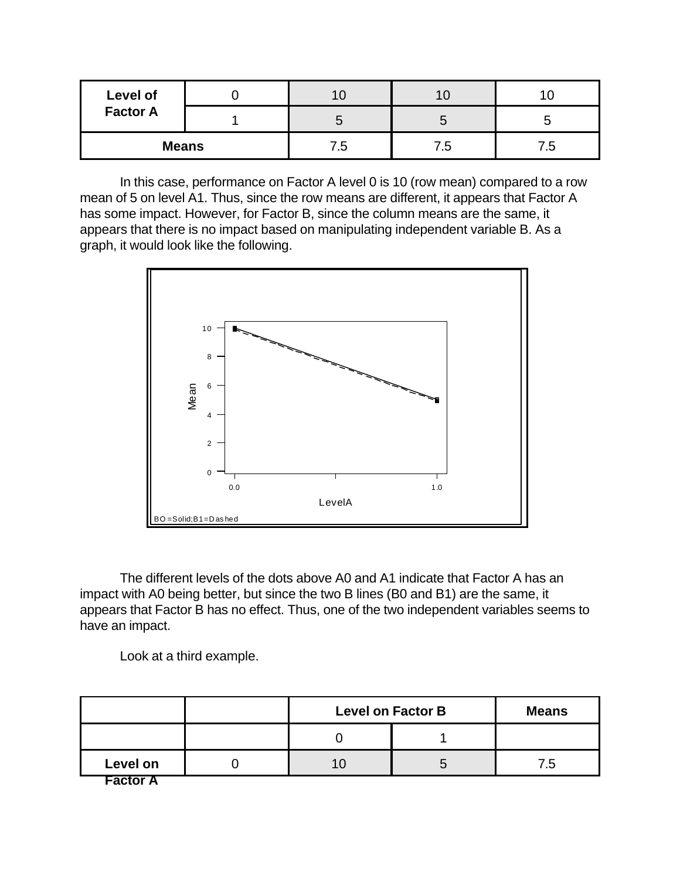| Level of        |  |     |     |    |
|-----------------|--|-----|-----|----|
| <b>Factor A</b> |  |     |     |    |
| <b>Means</b>    |  | 5.′ | /.ს | ه. |

In this case, performance on Factor A level 0 is 10 (row mean) compared to a row mean of 5 on level A1. Thus, since the row means are different, it appears that Factor A has some impact. However, for Factor B, since the column means are the same, it appears that there is no impact based on manipulating independent variable B. As a graph, it would look like the following.



The different levels of the dots above A0 and A1 indicate that Factor A has an impact with A0 being better, but since the two B lines (B0 and B1) are the same, it appears that Factor B has no effect. Thus, one of the two independent variables seems to have an impact.

Look at a third example.

|                 | <b>Level on Factor B</b> | <b>Means</b> |                |
|-----------------|--------------------------|--------------|----------------|
|                 |                          |              |                |
| Level on        |                          | O            | $^{\prime}$ .5 |
| <b>Factor A</b> |                          |              |                |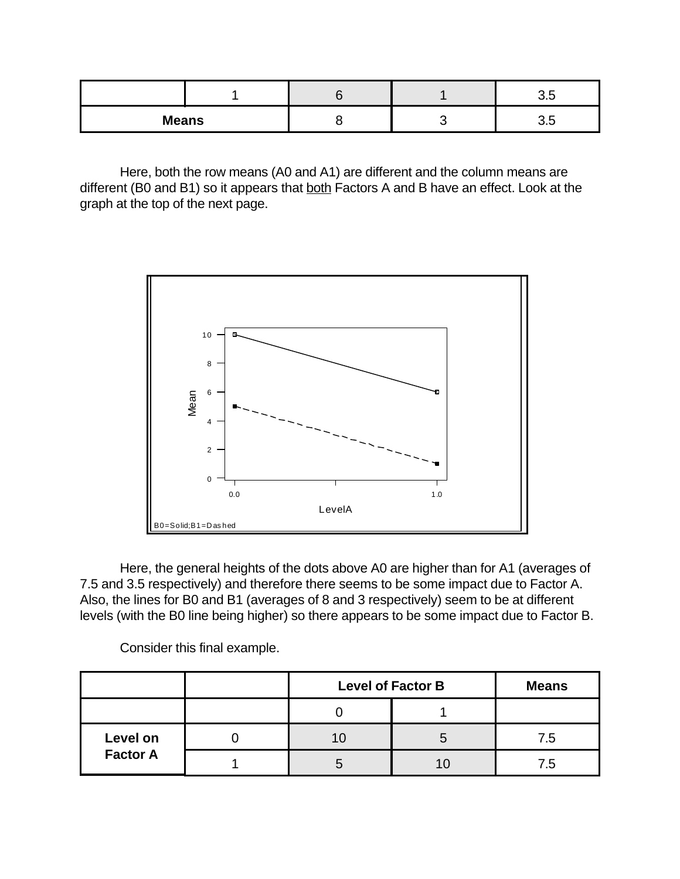| <b>Means</b> |  | U.J |
|--------------|--|-----|

Here, both the row means (A0 and A1) are different and the column means are different (B0 and B1) so it appears that both Factors A and B have an effect. Look at the graph at the top of the next page.



Here, the general heights of the dots above A0 are higher than for A1 (averages of 7.5 and 3.5 respectively) and therefore there seems to be some impact due to Factor A. Also, the lines for B0 and B1 (averages of 8 and 3 respectively) seem to be at different levels (with the B0 line being higher) so there appears to be some impact due to Factor B.

Consider this final example.

|                 | <b>Level of Factor B</b> | <b>Means</b> |                |
|-----------------|--------------------------|--------------|----------------|
|                 |                          |              |                |
| Level on        |                          |              | 7.5            |
| <b>Factor A</b> |                          |              | $^{\prime}$ .5 |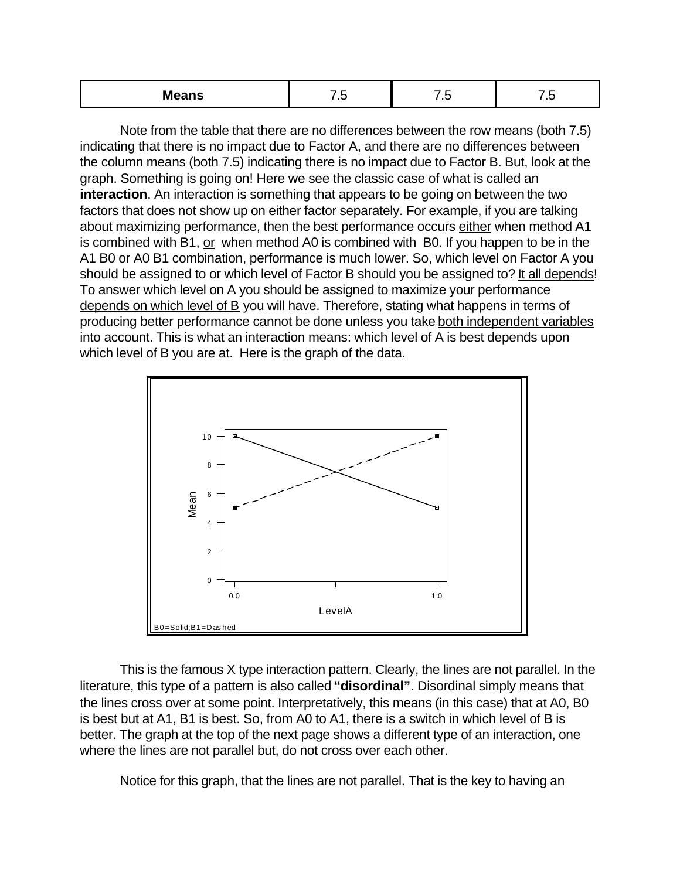| .<br>IVI<br>means | $\sim$<br>__ | . . | $\sim$<br>$\sim$ |
|-------------------|--------------|-----|------------------|
|-------------------|--------------|-----|------------------|

Note from the table that there are no differences between the row means (both 7.5) indicating that there is no impact due to Factor A, and there are no differences between the column means (both 7.5) indicating there is no impact due to Factor B. But, look at the graph. Something is going on! Here we see the classic case of what is called an **interaction**. An interaction is something that appears to be going on between the two factors that does not show up on either factor separately. For example, if you are talking about maximizing performance, then the best performance occurs either when method A1 is combined with B1, or when method A0 is combined with B0. If you happen to be in the A1 B0 or A0 B1 combination, performance is much lower. So, which level on Factor A you should be assigned to or which level of Factor B should you be assigned to? It all depends! To answer which level on A you should be assigned to maximize your performance depends on which level of B you will have. Therefore, stating what happens in terms of producing better performance cannot be done unless you take both independent variables into account. This is what an interaction means: which level of A is best depends upon which level of B you are at. Here is the graph of the data.



This is the famous X type interaction pattern. Clearly, the lines are not parallel. In the literature, this type of a pattern is also called **"disordinal"**. Disordinal simply means that the lines cross over at some point. Interpretatively, this means (in this case) that at A0, B0 is best but at A1, B1 is best. So, from A0 to A1, there is a switch in which level of B is better. The graph at the top of the next page shows a different type of an interaction, one where the lines are not parallel but, do not cross over each other.

Notice for this graph, that the lines are not parallel. That is the key to having an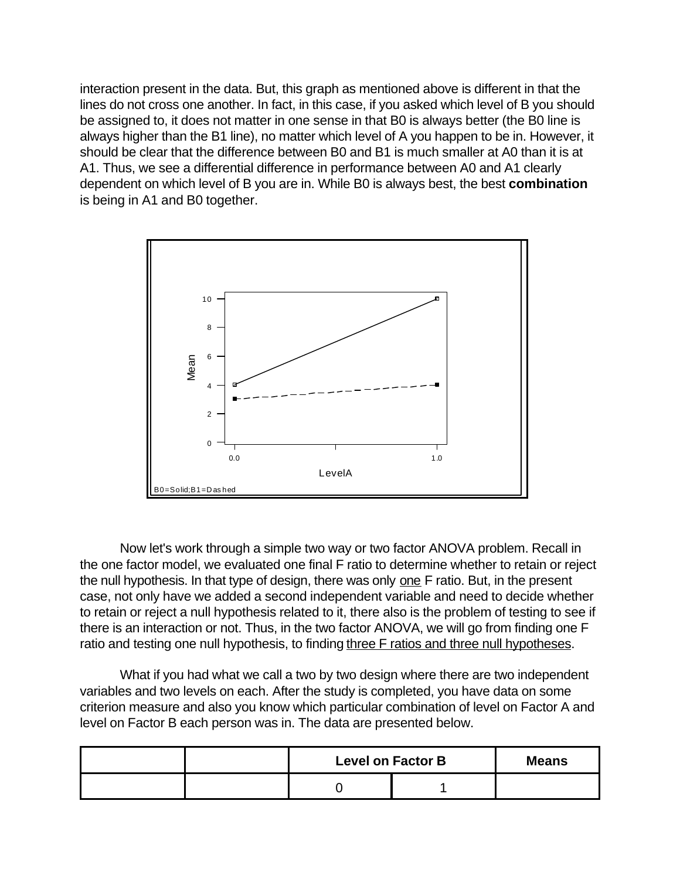interaction present in the data. But, this graph as mentioned above is different in that the lines do not cross one another. In fact, in this case, if you asked which level of B you should be assigned to, it does not matter in one sense in that B0 is always better (the B0 line is always higher than the B1 line), no matter which level of A you happen to be in. However, it should be clear that the difference between B0 and B1 is much smaller at A0 than it is at A1. Thus, we see a differential difference in performance between A0 and A1 clearly dependent on which level of B you are in. While B0 is always best, the best **combination** is being in A1 and B0 together.



Now let's work through a simple two way or two factor ANOVA problem. Recall in the one factor model, we evaluated one final F ratio to determine whether to retain or reject the null hypothesis. In that type of design, there was only one F ratio. But, in the present case, not only have we added a second independent variable and need to decide whether to retain or reject a null hypothesis related to it, there also is the problem of testing to see if there is an interaction or not. Thus, in the two factor ANOVA, we will go from finding one F ratio and testing one null hypothesis, to finding three F ratios and three null hypotheses.

What if you had what we call a two by two design where there are two independent variables and two levels on each. After the study is completed, you have data on some criterion measure and also you know which particular combination of level on Factor A and level on Factor B each person was in. The data are presented below.

|  | <b>Level on Factor B</b> | <b>Means</b> |  |
|--|--------------------------|--------------|--|
|  |                          |              |  |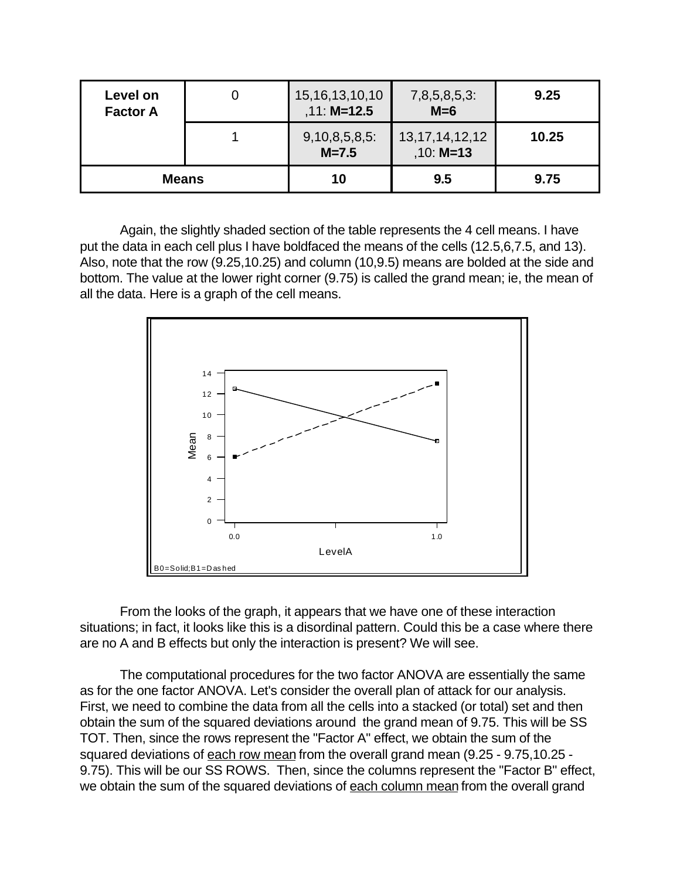| Level on<br><b>Factor A</b> | Ü | 15, 16, 13, 10, 10<br>$,11: M=12.5$ | $7,8,5,8,5,3$ :<br>$M=6$          | 9.25  |
|-----------------------------|---|-------------------------------------|-----------------------------------|-------|
|                             |   | $9,10,8,5,8,5$ :<br>$M = 7.5$       | 13, 17, 14, 12, 12<br>$,10: M=13$ | 10.25 |
| <b>Means</b>                |   | 10                                  | 9.5                               | 9.75  |

Again, the slightly shaded section of the table represents the 4 cell means. I have put the data in each cell plus I have boldfaced the means of the cells (12.5,6,7.5, and 13). Also, note that the row (9.25,10.25) and column (10,9.5) means are bolded at the side and bottom. The value at the lower right corner (9.75) is called the grand mean; ie, the mean of all the data. Here is a graph of the cell means.



From the looks of the graph, it appears that we have one of these interaction situations; in fact, it looks like this is a disordinal pattern. Could this be a case where there are no A and B effects but only the interaction is present? We will see.

The computational procedures for the two factor ANOVA are essentially the same as for the one factor ANOVA. Let's consider the overall plan of attack for our analysis. First, we need to combine the data from all the cells into a stacked (or total) set and then obtain the sum of the squared deviations around the grand mean of 9.75. This will be SS TOT. Then, since the rows represent the "Factor A" effect, we obtain the sum of the squared deviations of each row mean from the overall grand mean (9.25 - 9.75,10.25 - 9.75). This will be our SS ROWS. Then, since the columns represent the "Factor B" effect, we obtain the sum of the squared deviations of each column mean from the overall grand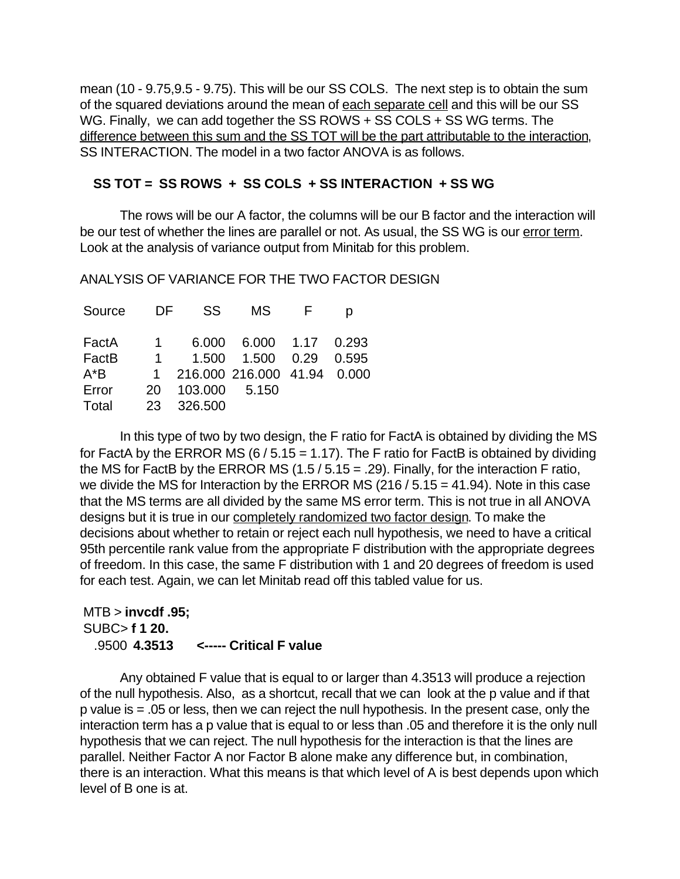mean (10 - 9.75,9.5 - 9.75). This will be our SS COLS. The next step is to obtain the sum of the squared deviations around the mean of each separate cell and this will be our SS WG. Finally, we can add together the SS ROWS + SS COLS  $+$  SS WG terms. The difference between this sum and the SS TOT will be the part attributable to the interaction, SS INTERACTION. The model in a two factor ANOVA is as follows.

### **SS TOT = SS ROWS + SS COLS + SS INTERACTION + SS WG**

The rows will be our A factor, the columns will be our B factor and the interaction will be our test of whether the lines are parallel or not. As usual, the SS WG is our error term. Look at the analysis of variance output from Minitab for this problem.

ANALYSIS OF VARIANCE FOR THE TWO FACTOR DESIGN

| Source | DF.       | SS.           | MS.                           | $\mathsf{H}$ |  |
|--------|-----------|---------------|-------------------------------|--------------|--|
| FactA  | $1 \quad$ |               | 6.000 6.000 1.17 0.293        |              |  |
| FactB  | $1 \quad$ |               | 1.500 1.500 0.29 0.595        |              |  |
| A*B    |           |               | 1 216.000 216.000 41.94 0.000 |              |  |
| Error  | 20        | 103.000 5.150 |                               |              |  |
| Total  | 23.       | 326.500       |                               |              |  |
|        |           |               |                               |              |  |

In this type of two by two design, the F ratio for FactA is obtained by dividing the MS for FactA by the ERROR MS  $(6/5.15 = 1.17)$ . The F ratio for FactB is obtained by dividing the MS for FactB by the ERROR MS  $(1.5 / 5.15 = .29)$ . Finally, for the interaction F ratio, we divide the MS for Interaction by the ERROR MS (216 / 5.15 = 41.94). Note in this case that the MS terms are all divided by the same MS error term. This is not true in all ANOVA designs but it is true in our completely randomized two factor design. To make the decisions about whether to retain or reject each null hypothesis, we need to have a critical 95th percentile rank value from the appropriate F distribution with the appropriate degrees of freedom. In this case, the same F distribution with 1 and 20 degrees of freedom is used for each test. Again, we can let Minitab read off this tabled value for us.

## MTB > **invcdf .95;** SUBC> **f 1 20.** .9500 **4.3513 <----- Critical F value**

Any obtained F value that is equal to or larger than 4.3513 will produce a rejection of the null hypothesis. Also, as a shortcut, recall that we can look at the p value and if that p value is = .05 or less, then we can reject the null hypothesis. In the present case, only the interaction term has a p value that is equal to or less than .05 and therefore it is the only null hypothesis that we can reject. The null hypothesis for the interaction is that the lines are parallel. Neither Factor A nor Factor B alone make any difference but, in combination, there is an interaction. What this means is that which level of A is best depends upon which level of B one is at.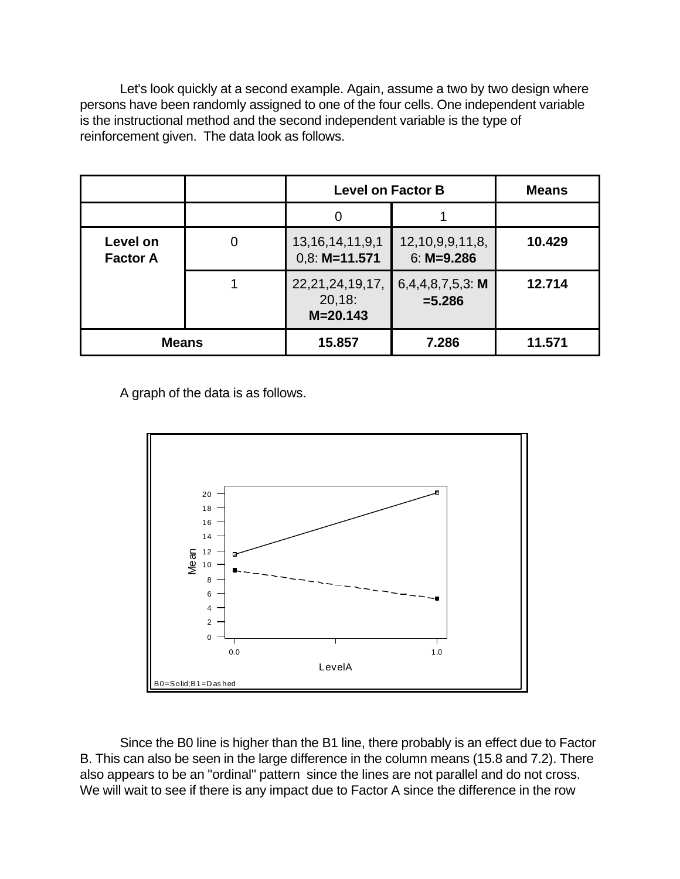Let's look quickly at a second example. Again, assume a two by two design where persons have been randomly assigned to one of the four cells. One independent variable is the instructional method and the second independent variable is the type of reinforcement given. The data look as follows.

|                             |  | <b>Level on Factor B</b>                      | <b>Means</b>                         |        |
|-----------------------------|--|-----------------------------------------------|--------------------------------------|--------|
|                             |  | O                                             |                                      |        |
| Level on<br><b>Factor A</b> |  | 13, 16, 14, 11, 9, 1<br>$0,8: M=11.571$       | 12, 10, 9, 9, 11, 8,<br>$6: M=9.286$ | 10.429 |
|                             |  | 22, 21, 24, 19, 17,<br>20,18:<br>$M = 20.143$ | 6,4,4,8,7,5,3: M<br>$= 5.286$        | 12.714 |
| <b>Means</b>                |  | 15.857                                        | 7.286                                | 11.571 |

A graph of the data is as follows.



Since the B0 line is higher than the B1 line, there probably is an effect due to Factor B. This can also be seen in the large difference in the column means (15.8 and 7.2). There also appears to be an "ordinal" pattern since the lines are not parallel and do not cross. We will wait to see if there is any impact due to Factor A since the difference in the row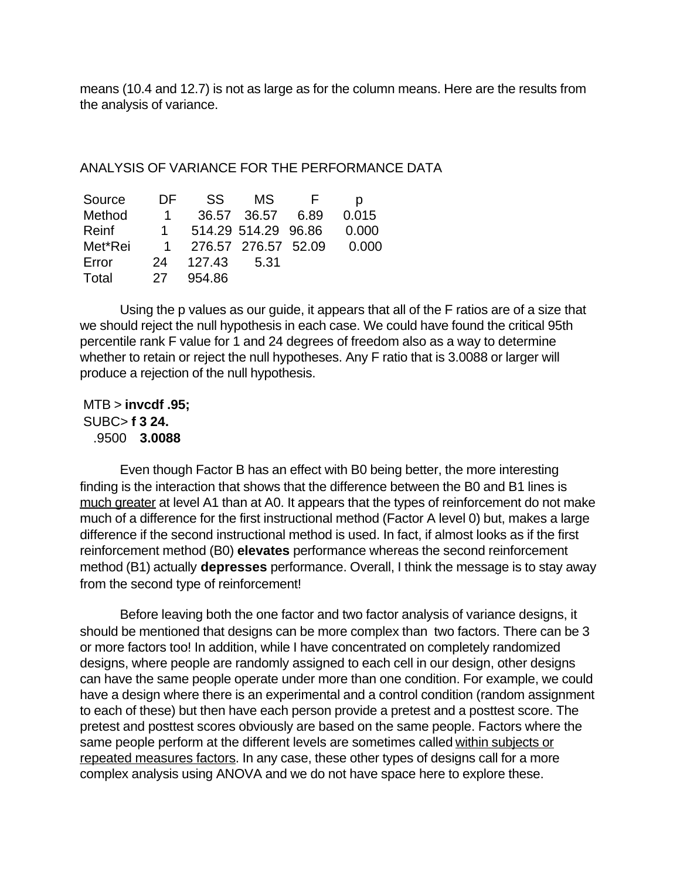means (10.4 and 12.7) is not as large as for the column means. Here are the results from the analysis of variance.

#### ANALYSIS OF VARIANCE FOR THE PERFORMANCE DATA

| Source  | DE.          | SS.    | MS.                 |      |       |
|---------|--------------|--------|---------------------|------|-------|
| Method  | 1.           |        | 36.57 36.57         | 6.89 | 0.015 |
| Reinf   | $\mathbf{1}$ |        | 514.29 514.29 96.86 |      | 0.000 |
| Met*Rei |              |        | 276.57 276.57 52.09 |      | 0.000 |
| Error   | 24           | 127.43 | 5.31                |      |       |
| Total   | 27           | 954.86 |                     |      |       |

Using the p values as our guide, it appears that all of the F ratios are of a size that we should reject the null hypothesis in each case. We could have found the critical 95th percentile rank F value for 1 and 24 degrees of freedom also as a way to determine whether to retain or reject the null hypotheses. Any F ratio that is 3.0088 or larger will produce a rejection of the null hypothesis.

 MTB > **invcdf .95;** SUBC> **f 3 24.** .9500 **3.0088**

Even though Factor B has an effect with B0 being better, the more interesting finding is the interaction that shows that the difference between the B0 and B1 lines is much greater at level A1 than at A0. It appears that the types of reinforcement do not make much of a difference for the first instructional method (Factor A level 0) but, makes a large difference if the second instructional method is used. In fact, if almost looks as if the first reinforcement method (B0) **elevates** performance whereas the second reinforcement method (B1) actually **depresses** performance. Overall, I think the message is to stay away from the second type of reinforcement!

Before leaving both the one factor and two factor analysis of variance designs, it should be mentioned that designs can be more complex than two factors. There can be 3 or more factors too! In addition, while I have concentrated on completely randomized designs, where people are randomly assigned to each cell in our design, other designs can have the same people operate under more than one condition. For example, we could have a design where there is an experimental and a control condition (random assignment to each of these) but then have each person provide a pretest and a posttest score. The pretest and posttest scores obviously are based on the same people. Factors where the same people perform at the different levels are sometimes called within subjects or repeated measures factors. In any case, these other types of designs call for a more complex analysis using ANOVA and we do not have space here to explore these.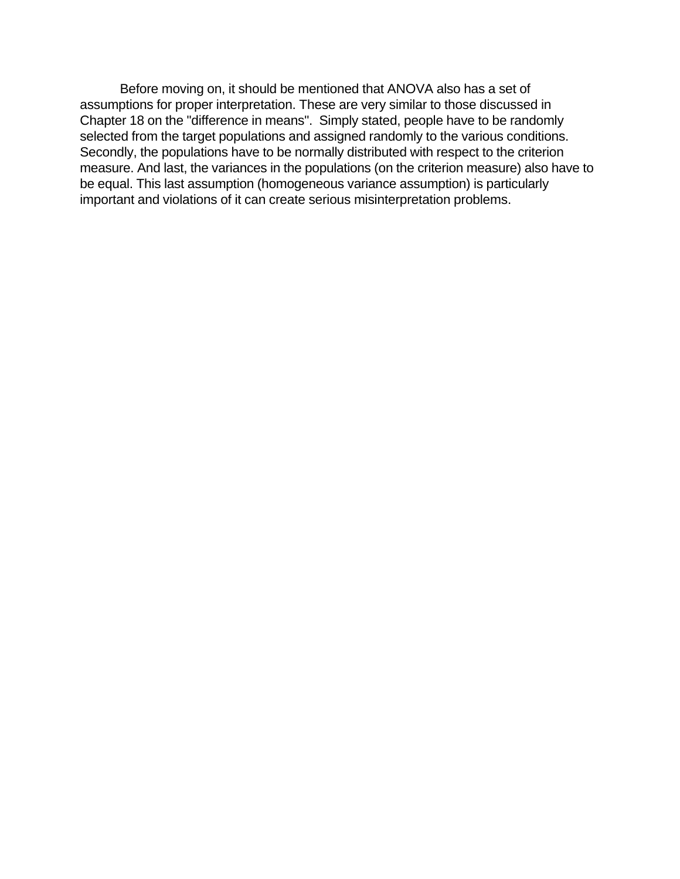Before moving on, it should be mentioned that ANOVA also has a set of assumptions for proper interpretation. These are very similar to those discussed in Chapter 18 on the "difference in means". Simply stated, people have to be randomly selected from the target populations and assigned randomly to the various conditions. Secondly, the populations have to be normally distributed with respect to the criterion measure. And last, the variances in the populations (on the criterion measure) also have to be equal. This last assumption (homogeneous variance assumption) is particularly important and violations of it can create serious misinterpretation problems.